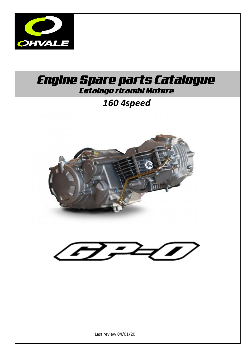

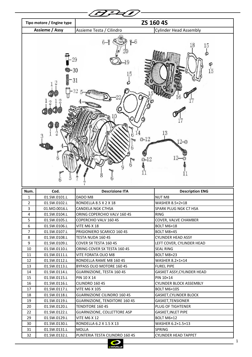|              | Tipo motore / Engine type    |                                                                 | ZS 160 4S                               |
|--------------|------------------------------|-----------------------------------------------------------------|-----------------------------------------|
|              | Assieme / Assy               | Assieme Testa / Cilindro                                        | <b>Cylinder Head Assembly</b>           |
|              |                              |                                                                 |                                         |
|              | $-30$<br>3                   | $6-$<br>29<br>15<br>31<br>$O-12$<br>$O-12$                      | 18<br>15<br>15<br>13<br>$2 -$<br>12     |
|              |                              |                                                                 |                                         |
|              |                              |                                                                 |                                         |
| Num.         | Cod.                         | <b>Descrizione ITA</b>                                          | <b>Description ENG</b>                  |
| 1            | 01.SW.0101.L                 | DADO M8                                                         | <b>NUT M8</b>                           |
| $\mathbf{z}$ | 01.SW.0102.L                 | RONDELLA 8.5 X 2 X 18                                           | WASHER 8.5×2×18                         |
| 3            | 01.MO.0016.L                 | CANDELA NGK C7HSA                                               | SPARK PLUG NGK C7 HSA                   |
| 4            | 01.SW.0104.L                 | ORING COPERCHIO VALV 160 4S                                     | <b>RING</b>                             |
| 5            | 01.SW.0105.L                 | COPERCHIO VALV 160 4S                                           | COVER, VALVE CHAMBER                    |
| 6            | 01.SW.0106.L                 | VITE M6 X 18                                                    | BOLT M6×18                              |
| 7            | 01.SW.0107.L                 | PRIGIONIERO SCARICO 160 4S                                      | BOLT M8×45                              |
| 8            | 01.SW.0108.L                 | TESTA NUDA 160 4S                                               | <b>CYLINDER HEAD ASSY</b>               |
| 9            | 01.SW.0109.L                 | COVER SX TESTA 160 4S                                           | LEFT COVER, CYLINDER HEAD               |
| 10           | 01.SW.0110.L                 | ORING COVER SX TESTA 160 4S                                     | <b>SEAL RING</b>                        |
| 11           | 01.SW.0111.L                 | VITE FORATA OLIO M8                                             | BOLT M8×23                              |
| 12           | 01.SW.0112.L                 | RONDELLA RAME M8 160 4S                                         | <b>WASHER 8.2×1×14</b>                  |
| 13           | 01.SW.0113.L                 | BYPASS OLIO MOTORE 160 4S                                       | <b>FUREL PIPE</b>                       |
| 14           | 01.SW.0114.L                 | GUARNIZIONE, TESTA 160 4S                                       | GASKET ASSY, CYLINDER HEAD              |
| 15           | 01.SW.0115.L                 | PIN 10 X 14                                                     | PIN 10×14                               |
| 16           | 01.SW.0116.L                 | CILINDRO 160 4S                                                 | CYLINDER BLOCK ASSEMBLY                 |
| 17           | 01.SW.0117.L                 | <b>VITE M6 X 105</b>                                            | BOLT M6×105                             |
| 18           | 01.SW.0118.L                 | <b>GUARNIZIONE CILINDRO 160 4S</b>                              | <b>GASKET, CYLINDER BLOCK</b>           |
| 19<br>20     | 01.SW.0119.L                 | <b>GUARNIZIONE, TENDITORE 160 4S</b><br><b>TENDITORE 160 4S</b> | GASKET, TENSIONER                       |
|              | 01.SW.0120.L                 |                                                                 | PLUG OF TIGHTENER                       |
| 22<br>29     | 01.SW.0122.L<br>01.SW.0129.L | GUARNIZIONE, COLLETTORE ASP<br><b>VITE M6 X 12</b>              | <b>GASKET, INLET PIPE</b><br>BOLT M6×12 |
| 30           | 01.SW.0130.L                 | RONDELLA 6.2 X 1.5 X 13                                         | WASHER 6.2×1.5×13                       |
| 31           | 01.SW.0131.L                 | <b>MOLLA</b>                                                    | SPRING                                  |

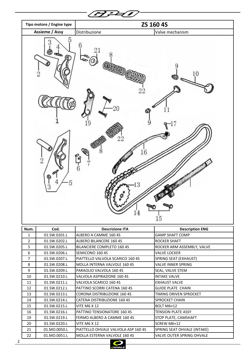

| Num.           | Cod.         | <b>Descrizione ITA</b>              | <b>Description ENG</b>      |
|----------------|--------------|-------------------------------------|-----------------------------|
| 1              | 01.SW.0201.L | ALBERO A CAMME 160 4S               | <b>GAMP SHAFT COMP</b>      |
| $\overline{2}$ | 01.SW.0202.L | ALBERO BILANCERE 160 4S             | <b>ROCKER SHAFT</b>         |
| 5              | 01.SW.0205.L | BILANCIERE COMPLETO 160 4S          | ROCKER ARM ASSEMBLY, VALVE  |
| 6              | 01.SW.0206.L | SEMICONO 160 4S                     | <b>VALVE LOCKER</b>         |
| 7              | 01.SW.0207.L | PIATTELLO VALVOLA SCARICO 160 4S    | SPRING SEAT (EXHAUST)       |
| 8              | 01.SW.0208.L | MOLLA INTERNA VALVOLE 160 4S        | <b>VALVE INNER SPRING</b>   |
| 9              | 01.SW.0209.L | PARAOLIO VALVOLA 160 4S             | SEAL, VALVE STEM            |
| 10             | 01.SW.0210.L | VALVOLA ASPIRAZIONE 160 4S          | <b>INTAKE VALVE</b>         |
| 11             | 01.SW.0211.L | VALVOLA SCARICO 160 4S              | <b>EXHAUST VALVE</b>        |
| 12             | 01.SW.0212.L | PATTINO SCORRI CATENA 160 4S        | <b>GUIDE PLATE CHAIN</b>    |
| 13             | 01.SW.0213.L | CORONA DISTRIBUZIONE 160 4S         | TIMING DRIVEN SPROCKET      |
| 14             | 01.SW.0214.L | CATENA DISTRIBUZIONE 160 4S         | <b>SPROCKET CHAIN</b>       |
| 15             | 01.SW.0215.L | <b>VITE M6 X 12</b>                 | BOLT M6×12                  |
| 16             | 01.SW.0216.L | PATTINO TENSIONATORE 160 4S         | <b>TENSION PLATE ASSY</b>   |
| 19             | 01.SW.0219.L | FERMO ALBERO A CAMME 160 4S         | STOP PLATE, CAMSHAFT        |
| 20             | 01.SW.0220.L | <b>VITE M6 X 12</b>                 | SCREW M6×12                 |
| 21             | 01.MO.0050.L | PIATTELLO OHVALE VALVOLA ASP 160 4S | SPRING SEAT OHVALE (INTAKE) |
| 22             | 01.MO.0051.L | <b>MOLLA ESTERNA VALVOLE 160 4S</b> | VALVE OUTER SPRING OHVALE   |

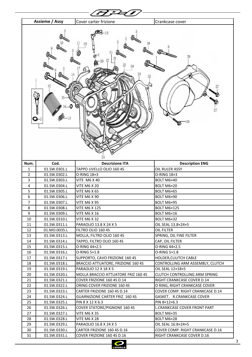

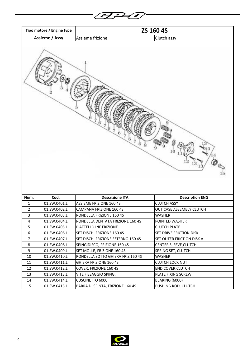|      | Tipo motore / Engine type |                                    | ZS 160 4S                 |
|------|---------------------------|------------------------------------|---------------------------|
|      | Assieme / Assy            | Assieme frizione                   | Clutch assy               |
|      |                           |                                    |                           |
| Num. | Cod.                      | <b>Descrizione ITA</b>             | <b>Description ENG</b>    |
| 1    | 01.SW.0401.L              | <b>ASSIEME FRIZIONE 160 4S</b>     | <b>CLUTCH ASSY</b>        |
| 2    | 01.SW.0402.L              | CAMPANA FRIZIONE 160 4S            | OUT CASE ASSEMBLY, CLUTCH |
| 3    | 01.SW.0403.L              | RONDELLA FRIZIONE 160 4S           | WASHER                    |
| 4    | 01.SW.0404.L              | RONDELLA DENTATA FRIZIONE 160 4S   | POINTED WASHER            |
| 5    | 01.SW.0405.L              | PIATTELLO INF FRIZIONE             | <b>CLUTCH PLATE</b>       |
| 6    | 01.SW.0406.L              | SET DISCHI FRIZIONE 160 4S         | SET DRIVE FRICTION DISK   |
| 7    | 01.SW.0407.L              | SET DISCHI FRIZIONE ESTERNO 160 4S | SET OUTER FRICTION DISK A |
| 8    | 01.SW.0408.L              | SPINGIDISCO, FRIZIONE 160 4S       | CENTER SLEEVE, CLUTCH     |
| 9    | 01.SW.0409.L              | SET MOLLE, FRIZIONE 160 4S         | SPRING SET, CLUTCH        |
| 10   | 01.SW.0410.L              | RONDELLA SOTTO GHIERA FRIZ 160 4S  | WASHER                    |
| 11   | 01.SW.0411.L              | GHIERA FRIZIONE 160 4S             | <b>CLUTCH LOCK NUT</b>    |
| 12   | 01.SW.0412.L              | COVER, FRIZIONE 160 4S             | <b>END COVER, CLUTCH</b>  |
| 13   | 01.SW.0413.L              | VITE FISSAGGIO SPING.              | PLATE FIXING SCREW        |
| 14   | 01.SW.0414.L              | CUSCINETTO 6000                    | <b>BEARING (6000)</b>     |
|      |                           |                                    |                           |
| 15   | 01.SW.0415.L              | BARRA DI SPINTA, FRIZIONE 160 4S   | PUSHING ROD, CLUTCH       |

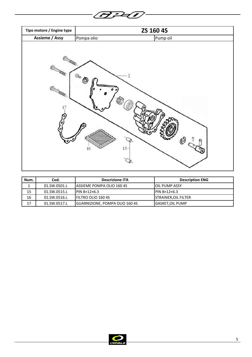



| Num. | Cod.         | <b>Descrizione ITA</b>                 | <b>Description ENG</b>    |
|------|--------------|----------------------------------------|---------------------------|
| ∸    | 01.SW.0501.L | IASSIEME POMPA OLIO 160 4S             | <b>JOIL PUMP ASSY</b>     |
| 15   | 01.SW.0515.L | $IPIN 8\times12\times6.3$              | $IPIN 8\times12\times6.3$ |
| 16   | 01.SW.0516.L | <b>IFILTRO OLIO 160 4S</b>             | ISTRAINER.OIL FILTER      |
| 17   | 01.SW.0517.L | <b>IGUARNIZIONE, POMPA OLIO 160 4S</b> | <b>IGASKET,OIL PUMP</b>   |

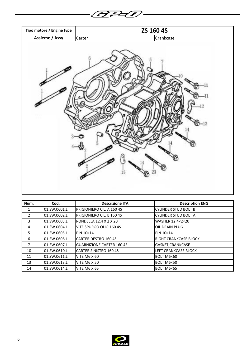

| Num.           | Cod.         | <b>Descrizione ITA</b>           | <b>Description ENG</b>      |
|----------------|--------------|----------------------------------|-----------------------------|
| 1              | 01.SW.0601.L | PRIGIONIERO CIL. A 160 4S        | <b>CYLINDER STUD BOLT B</b> |
| $\overline{2}$ | 01.SW.0602.L | PRIGIONIERO CIL. B 160 4S        | <b>CYLINDER STUD BOLT A</b> |
| 3              | 01.SW.0603.L | RONDELLA 12.4 X 2 X 20           | WASHER 12.4×2×20            |
| 4              | 01.SW.0604.L | VITE SPURGO OLIO 160 4S          | OIL DRAIN PLUG              |
| 5              | 01.SW.0605.L | PIN 10×14                        | <b>PIN 10×14</b>            |
| 6              | 01.SW.0606.L | <b>CARTER DESTRO 160 4S</b>      | RIGHT CRANKCASE BLOCK       |
| 7              | 01.SW.0607.L | <b>GUARNIZIONE CARTER 160 4S</b> | GASKET, CRANKCASE           |
| 10             | 01.SW.0610.L | <b>CARTER SINISTRO 160 4S</b>    | LEFT CRANKCASE BLOCK        |
| 11             | 01.SW.0611.L | <b>VITE M6 X 60</b>              | BOLT M6×60                  |
| 13             | 01.SW.0613.L | <b>VITE M6 X 50</b>              | BOLT M6×50                  |
| 14             | 01.SW.0614.L | <b>VITE M6 X 65</b>              | BOLT M6×65                  |

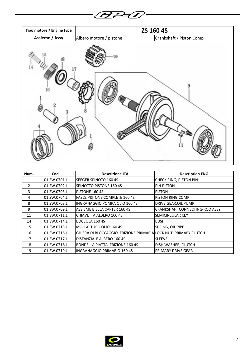



| Num.          | Cod.         | <b>Descrizione ITA</b>                                           | <b>Description ENG</b>         |
|---------------|--------------|------------------------------------------------------------------|--------------------------------|
| 1             | 01.SW.0701.L | SEEGER SPINOTO 160 4S                                            | CHECK RING, PISTON PIN         |
| $\mathcal{P}$ | 01.SW.0702.L | <b>SPINOTTO PISTONE 160 4S</b>                                   | <b>PIN PISTON</b>              |
| 3             | 01.SW.0703.L | PISTONE 160 4S                                                   | <b>PISTON</b>                  |
| 4             | 01.SW.0704.L | <b>FASCE PISTONE COMPLETE 160 4S</b>                             | <b>PISTON RING COMP</b>        |
| 8             | 01.SW.0708.L | INGRANAGGIO POMPA OLIO 160 4S                                    | DRIVE GEAR, OIL PUMP           |
| 9             | 01.SW.0709.L | ASSIEME BIELLA CARTER 160 4S                                     | CRANKSHAFT CONNECTING-ROD ASSY |
| 11            | 01.SW.0711.L | CHIAVETTA ALBERO 160 4S                                          | <b>SEMICIRCULAR KEY</b>        |
| 14            | 01.SW.0714.L | BOCCOLA 160 4S                                                   | <b>BUSH</b>                    |
| 15            | 01.SW.0715.L | MOLLA, TUBO OLIO 160 4S                                          | SPRING, OIL PIPE               |
| 16            | 01.SW.0716.L | GHIERA DI BLOCCAGGIO, FRIZIONE PRIMARIA LOCK NUT, PRIMARY CLUTCH |                                |
| 17            | 01.SW.0717.L | DISTANZIALE ALBERO 160 4S                                        | <b>SLEEVE</b>                  |
| 18            | 01.SW.0718.L | RONDELLA PIATTA, FRIZIONE 160 4S                                 | DISH WASHER, CLUTCH            |
| 19            | 01.SW.0719.L | <b>INGRANAGGIO PRIMARIO 160 4S</b>                               | PRIMARY DRIVE GEAR             |

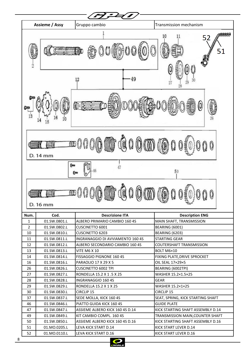

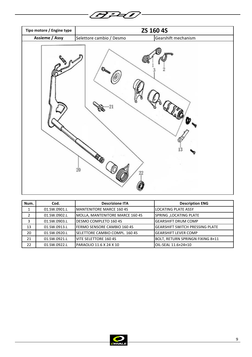

| Num. | Cod.         | <b>Descrizione ITA</b>                 | <b>Description ENG</b>                 |
|------|--------------|----------------------------------------|----------------------------------------|
|      | 01.SW.0901.L | <b>IMANTENITORE MARCE 160 4S</b>       | <b>LOCATING PLATE ASSY</b>             |
|      | 01.SW.0902.L | MOLLA, MANTENITORE MARCE 160 4S        | SPRING , LOCATING PLATE                |
| 3    | 01.SW.0903.L | <b>IDESMO COMPLETO 160 4S</b>          | <b>GEARSHIFT DRUM COMP</b>             |
| 13   | 01.SW.0913.L | <b>IFERMO SENSORE CAMBIO 160 4S</b>    | <b>GEARSHIFT SWITCH PRESSING PLATE</b> |
| 20   | 01.SW.0920.L | <b>ISELETTORE CAMBIO COMPL. 160 4S</b> | <b>GEARSHIFT LEVER COMP</b>            |
| 21   | 01.SW.0921.L | <b>IVITE SELETTORE 160 4S</b>          | BOLT, RETURN SPRINGN FIXING 8×11       |
| 22   | 01.SW.0922.L | <b>PARAOLIO 11.6 X 24 X 10</b>         | OIL-SEAL 11.6×24×10                    |

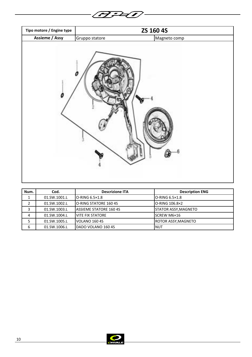**BFU** 

| Tipo motore / Engine type |                | ZS 160 4S    |  |
|---------------------------|----------------|--------------|--|
| <b>Assieme / Assy</b>     | Gruppo statore | Magneto comp |  |
|                           |                |              |  |

| Num. | Cod.         | <b>Descrizione ITA</b>         | <b>Description ENG</b>      |
|------|--------------|--------------------------------|-----------------------------|
|      | 01.SW.1001.L | $IO-RING 6.5 \times 1.8$       | O-RING 6.5×1.8              |
|      | 01.SW.1002.L | <b>IO-RING STATORE 160 4S</b>  | O-RING 106.8×2              |
|      | 01.SW.1003.L | <b>IASSIEME STATORE 160 4S</b> | <b>STATOR ASSY, MAGNETO</b> |
| 4    | 01.SW.1004.L | <b>IVITE FIX STATORE</b>       | SCREW M6×16                 |
|      | 01.SW.1005.L | IVOLANO 160 4S                 | <b>ROTOR ASSY, MAGNETO</b>  |
| 6    | 01.SW.1006.L | IDADO VOLANO 160 4S            | <b>NUT</b>                  |